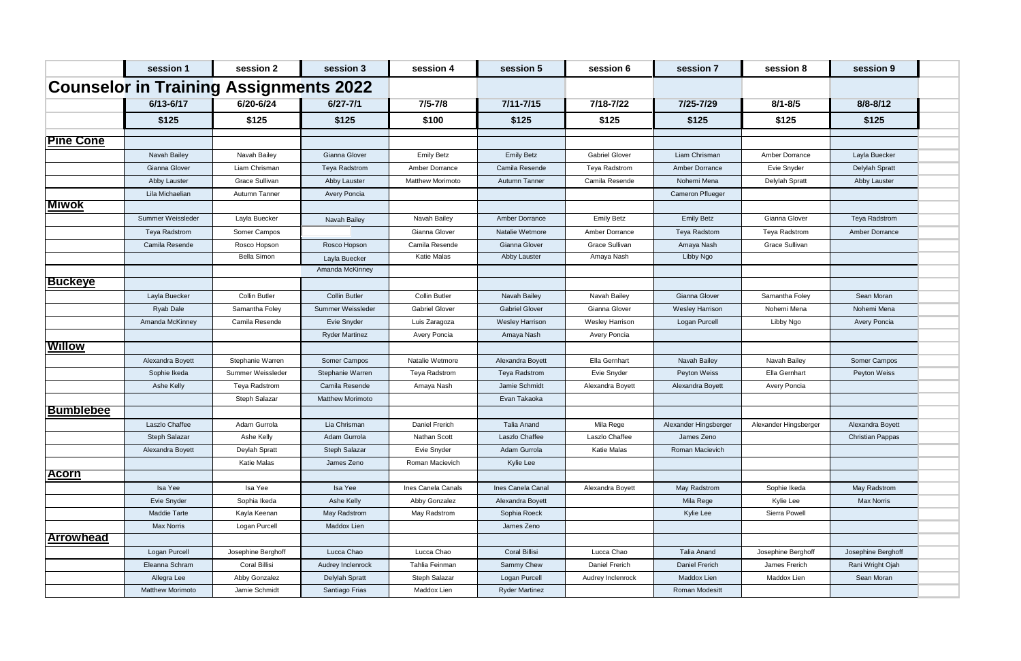|                  | session 1                                     | session 2             | session 3               | session 4               | session 5              | session 6             | session 7               | session 8             | session 9               |
|------------------|-----------------------------------------------|-----------------------|-------------------------|-------------------------|------------------------|-----------------------|-------------------------|-----------------------|-------------------------|
|                  | <b>Counselor in Training Assignments 2022</b> |                       |                         |                         |                        |                       |                         |                       |                         |
|                  | 6/13-6/17                                     | 6/20-6/24             | $6/27 - 7/1$            | $7/5 - 7/8$             | $7/11 - 7/15$          | 7/18-7/22             | 7/25-7/29               | $8/1 - 8/5$           | $8/8 - 8/12$            |
|                  | \$125                                         | \$125                 | \$125                   | \$100                   | \$125                  | \$125                 | \$125                   | \$125                 | \$125                   |
| <b>Pine Cone</b> |                                               |                       |                         |                         |                        |                       |                         |                       |                         |
|                  | Navah Bailey                                  | Navah Bailey          | Gianna Glover           | <b>Emily Betz</b>       | <b>Emily Betz</b>      | <b>Gabriel Glover</b> | Liam Chrisman           | Amber Dorrance        | Layla Buecker           |
|                  | Gianna Glover                                 | Liam Chrisman         | Teya Radstrom           | Amber Dorrance          | Camila Resende         | Teya Radstrom         | Amber Dorrance          | Evie Snyder           | Delylah Spratt          |
|                  | Abby Lauster                                  | <b>Grace Sullivan</b> | Abby Lauster            | <b>Matthew Morimoto</b> | Autumn Tanner          | Camila Resende        | Nohemi Mena             | Delylah Spratt        | Abby Lauster            |
|                  | Lila Michaelian                               | Autumn Tanner         | Avery Poncia            |                         |                        |                       | <b>Cameron Pflueger</b> |                       |                         |
| <b>Miwok</b>     |                                               |                       |                         |                         |                        |                       |                         |                       |                         |
|                  | Summer Weissleder                             | Layla Buecker         | Navah Bailey            | Navah Bailey            | Amber Dorrance         | <b>Emily Betz</b>     | <b>Emily Betz</b>       | Gianna Glover         | Teya Radstrom           |
|                  | <b>Teya Radstrom</b>                          | Somer Campos          |                         | Gianna Glover           | Natalie Wetmore        | Amber Dorrance        | Teya Radstom            | Teya Radstrom         | <b>Amber Dorrance</b>   |
|                  | Camila Resende                                | Rosco Hopson          | Rosco Hopson            | Camila Resende          | Gianna Glover          | <b>Grace Sullivan</b> | Amaya Nash              | Grace Sullivan        |                         |
|                  |                                               | <b>Bella Simon</b>    | Layla Buecker           | <b>Katie Malas</b>      | Abby Lauster           | Amaya Nash            | Libby Ngo               |                       |                         |
|                  |                                               |                       | Amanda McKinney         |                         |                        |                       |                         |                       |                         |
| <b>Buckeye</b>   |                                               |                       |                         |                         |                        |                       |                         |                       |                         |
|                  | Layla Buecker                                 | <b>Collin Butler</b>  | <b>Collin Butler</b>    | <b>Collin Butler</b>    | Navah Bailey           | Navah Bailey          | Gianna Glover           | Samantha Foley        | Sean Moran              |
|                  | Ryab Dale                                     | Samantha Foley        | Summer Weissleder       | <b>Gabriel Glover</b>   | <b>Gabriel Glover</b>  | Gianna Glover         | <b>Wesley Harrison</b>  | Nohemi Mena           | Nohemi Mena             |
|                  | Amanda McKinney                               | Camila Resende        | Evie Snyder             | Luis Zaragoza           | <b>Wesley Harrison</b> | Wesley Harrison       | Logan Purcell           | Libby Ngo             | Avery Poncia            |
|                  |                                               |                       | <b>Ryder Martinez</b>   | Avery Poncia            | Amaya Nash             | Avery Poncia          |                         |                       |                         |
| <b>Willow</b>    |                                               |                       |                         |                         |                        |                       |                         |                       |                         |
|                  | Alexandra Boyett                              | Stephanie Warren      | Somer Campos            | Natalie Wetmore         | Alexandra Boyett       | Ella Gernhart         | Navah Bailey            | Navah Bailey          | Somer Campos            |
|                  | Sophie Ikeda                                  | Summer Weissleder     | Stephanie Warren        | Teya Radstrom           | <b>Teya Radstrom</b>   | Evie Snyder           | Peyton Weiss            | Ella Gernhart         | Peyton Weiss            |
|                  | Ashe Kelly                                    | Teya Radstrom         | Camila Resende          | Amaya Nash              | Jamie Schmidt          | Alexandra Boyett      | Alexandra Boyett        | Avery Poncia          |                         |
|                  |                                               | Steph Salazar         | <b>Matthew Morimoto</b> |                         | Evan Takaoka           |                       |                         |                       |                         |
| <b>Bumblebee</b> |                                               |                       |                         |                         |                        |                       |                         |                       |                         |
|                  | Laszlo Chaffee                                | Adam Gurrola          | Lia Chrisman            | Daniel Frerich          | Talia Anand            | Mila Rege             | Alexander Hingsberger   | Alexander Hingsberger | Alexandra Boyett        |
|                  | Steph Salazar                                 | Ashe Kelly            | Adam Gurrola            | Nathan Scott            | Laszlo Chaffee         | Laszlo Chaffee        | James Zeno              |                       | <b>Christian Pappas</b> |
|                  | Alexandra Boyett                              | Deylah Spratt         | Steph Salazar           | Evie Snyder             | Adam Gurrola           | Katie Malas           | Roman Macievich         |                       |                         |
|                  |                                               | Katie Malas           | James Zeno              | Roman Macievich         | Kylie Lee              |                       |                         |                       |                         |
| <b>Acorn</b>     |                                               |                       |                         |                         |                        |                       |                         |                       |                         |
|                  | Isa Yee                                       | Isa Yee               | Isa Yee                 | Ines Canela Canals      | Ines Canela Canal      | Alexandra Boyett      | May Radstrom            | Sophie Ikeda          | May Radstrom            |
|                  | Evie Snyder                                   | Sophia Ikeda          | Ashe Kelly              | Abby Gonzalez           | Alexandra Boyett       |                       | Mila Rege               | Kylie Lee             | <b>Max Norris</b>       |
|                  | Maddie Tarte                                  | Kayla Keenan          | May Radstrom            | May Radstrom            | Sophia Roeck           |                       | Kylie Lee               | Sierra Powell         |                         |
|                  | <b>Max Norris</b>                             | Logan Purcell         | Maddox Lien             |                         | James Zeno             |                       |                         |                       |                         |
| Arrowhead        |                                               |                       |                         |                         |                        |                       |                         |                       |                         |
|                  | Logan Purcell                                 | Josephine Berghoff    | Lucca Chao              | Lucca Chao              | Coral Billisi          | Lucca Chao            | <b>Talia Anand</b>      | Josephine Berghoff    | Josephine Berghoff      |
|                  | Eleanna Schram                                | Coral Billisi         | Audrey Inclenrock       | Tahlia Feinman          | Sammy Chew             | Daniel Frerich        | Daniel Frerich          | James Frerich         | Rani Wright Ojah        |
|                  | Allegra Lee                                   | Abby Gonzalez         | Delylah Spratt          | Steph Salazar           | Logan Purcell          | Audrey Inclenrock     | Maddox Lien             | Maddox Lien           | Sean Moran              |
|                  | <b>Matthew Morimoto</b>                       | Jamie Schmidt         | Santiago Frias          | Maddox Lien             | <b>Ryder Martinez</b>  |                       | Roman Modesitt          |                       |                         |